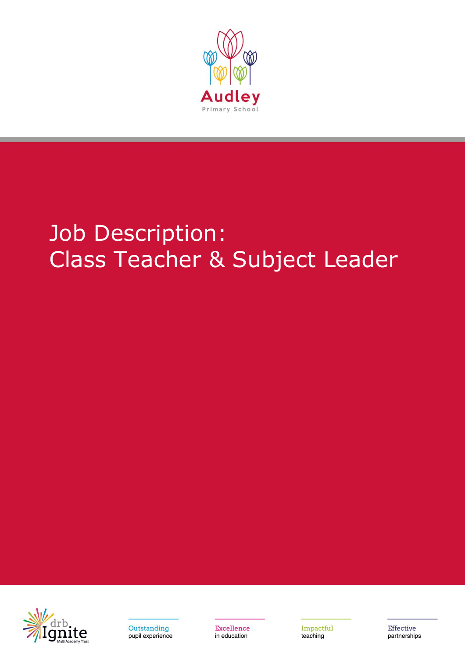

# Job Description: Class Teacher & Subject Leader





Excellence in education

Impactful teaching

**Effective** partnerships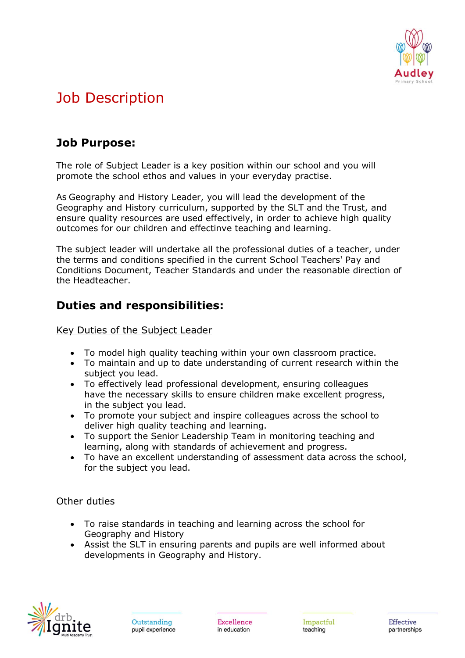

# Job Description

## **Job Purpose:**

The role of Subject Leader is a key position within our school and you will promote the school ethos and values in your everyday practise.

As Geography and History Leader, you will lead the development of the Geography and History curriculum, supported by the SLT and the Trust, and ensure quality resources are used effectively, in order to achieve high quality outcomes for our children and effectinve teaching and learning.

The subject leader will undertake all the professional duties of a teacher, under the terms and conditions specified in the current School Teachers' Pay and Conditions Document, Teacher Standards and under the reasonable direction of the Headteacher.

## **Duties and responsibilities:**

Key Duties of the Subject Leader

- To model high quality teaching within your own classroom practice.
- To maintain and up to date understanding of current research within the subject you lead.
- To effectively lead professional development, ensuring colleagues have the necessary skills to ensure children make excellent progress, in the subject you lead.
- To promote your subject and inspire colleagues across the school to deliver high quality teaching and learning.
- To support the Senior Leadership Team in monitoring teaching and learning, along with standards of achievement and progress.
- To have an excellent understanding of assessment data across the school, for the subject you lead.

#### Other duties

- To raise standards in teaching and learning across the school for Geography and History
- Assist the SLT in ensuring parents and pupils are well informed about developments in Geography and History.